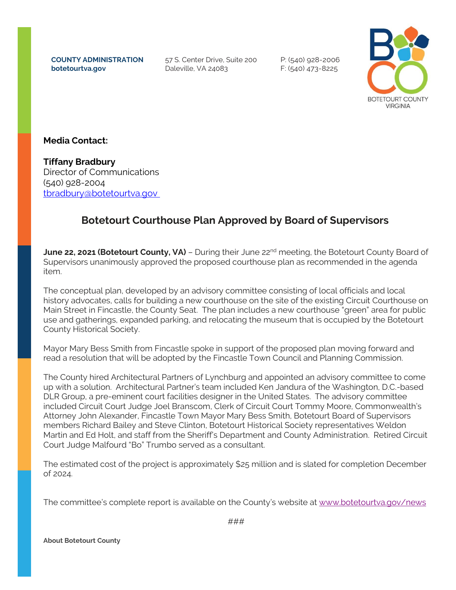**COUNTY ADMINISTRATION botetourtva.gov**

57 S. Center Drive, Suite 200 Daleville, VA 24083

P: (540) 928-2006 F: (540) 473-8225



## **Media Contact:**

**Tiffany Bradbury** Director of Communications (540) 928-2004 [tbradbury@botetourtva.gov](mailto:dmoorman@botetourtva.gov)

## **Botetourt Courthouse Plan Approved by Board of Supervisors**

**June 22, 2021 (Botetourt County, VA)** – During their June 22nd meeting, the Botetourt County Board of Supervisors unanimously approved the proposed courthouse plan as recommended in the agenda item.

The conceptual plan, developed by an advisory committee consisting of local officials and local history advocates, calls for building a new courthouse on the site of the existing Circuit Courthouse on Main Street in Fincastle, the County Seat. The plan includes a new courthouse "green" area for public use and gatherings, expanded parking, and relocating the museum that is occupied by the Botetourt County Historical Society.

Mayor Mary Bess Smith from Fincastle spoke in support of the proposed plan moving forward and read a resolution that will be adopted by the Fincastle Town Council and Planning Commission.

The County hired Architectural Partners of Lynchburg and appointed an advisory committee to come up with a solution. Architectural Partner's team included Ken Jandura of the Washington, D.C.-based DLR Group, a pre-eminent court facilities designer in the United States. The advisory committee included Circuit Court Judge Joel Branscom, Clerk of Circuit Court Tommy Moore, Commonwealth's Attorney John Alexander, Fincastle Town Mayor Mary Bess Smith, Botetourt Board of Supervisors members Richard Bailey and Steve Clinton, Botetourt Historical Society representatives Weldon Martin and Ed Holt, and staff from the Sheriff's Department and County Administration. Retired Circuit Court Judge Malfourd "Bo" Trumbo served as a consultant.

The estimated cost of the project is approximately \$25 million and is slated for completion December of 2024.

The committee's complete report is available on the County's website at [www.botetourtva.gov/news](http://www.botetourtva.gov/news)

**About Botetourt County**